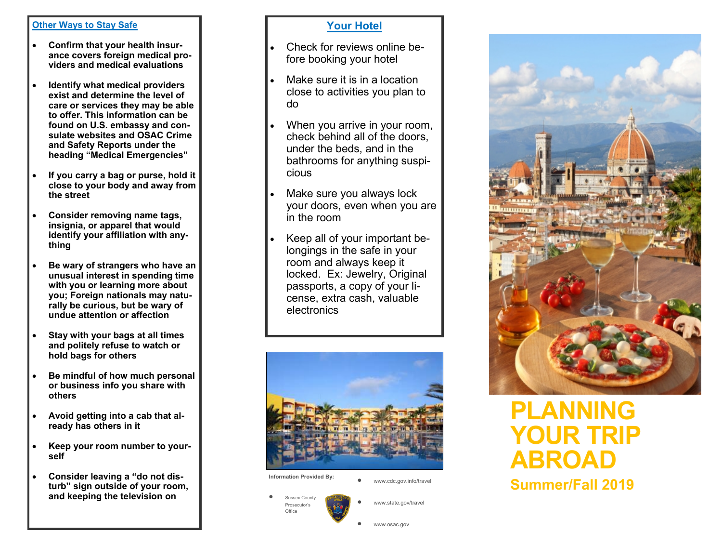#### **Other Ways to Stay Safe**

- $\bullet$  **Confirm that your health insurance covers foreign medical providers and medical evaluations**
- $\bullet$  **Identify what medical providers exist and determine the level of care or services they may be able to offer. This information can be found on U.S. embassy and consulate websites and OSAC Crime and Safety Reports under the heading "Medical Emergencies"**
- $\bullet$  **If you carry a bag or purse, hold it close to your body and away from the street**
- $\bullet$  **Consider removing name tags, insignia, or apparel that would identify your affiliation with anything**
- $\bullet$  **Be wary of strangers who have an unusual interest in spending time with you or learning more about you; Foreign nationals may naturally be curious, but be wary of undue attention or affection**
- $\bullet$  **Stay with your bags at all times and politely refuse to watch or hold bags for others**
- $\bullet$  **Be mindful of how much personal or business info you share with others**
- $\bullet$  **Avoid getting into a cab that already has others in it**
- $\bullet$  **Keep your room number to yourself**
- $\bullet$  **Consider leaving a "do not disturb" sign outside of your room, and keeping the television on**

## **Your Hotel**

- . Check for reviews online before booking your hotel
- $\bullet$  Make sure it is in a location close to activities you plan to do
- $\bullet$  When you arrive in your room, check behind all of the doors, under the beds, and in the bathrooms for anything suspicious
- $\bullet$  Make sure you always lock your doors, even when you are in the room
- $\bullet$  Keep all of your important belongings in the safe in your room and always keep it locked. Ex: Jewelry, Original passports, a copy of your license, extra cash, valuable electronics



 $\bullet$ 

 $\bullet$ 

**Information Provided By:** 

 $\bullet$ www.cdc.gov.info/travel

www.osac.gov

www.state.gov/travel

 $\bullet$  Sussex County Prosecutor's Office



# **PLANNING YOUR TRIP ABROAD**

**Summer/Fall 2019**